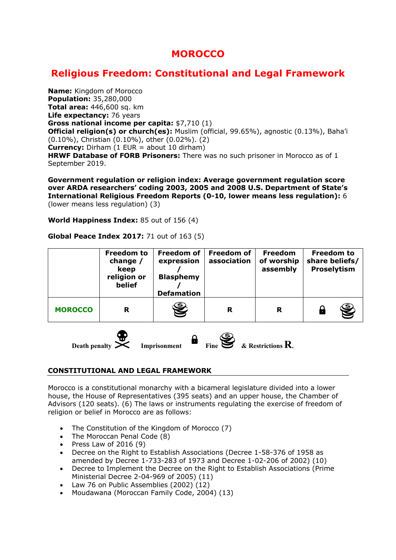# **MOROCCO**

# **Religious Freedom: Constitutional and Legal Framework**

**Name:** Kingdom of Morocco **Population:** 35,280,000 **Total area:** 446,600 sq. km **Life expectancy:** 76 years **Gross national income per capita:** \$7,710 (1) **Official religion(s) or church(es):** Muslim (official, 99.65%), agnostic (0.13%), Baha'i (0.10%), Christian (0.10%), other (0.02%). (2) **Currency:** Dirham (1 EUR = about 10 dirham) **HRWF Database of FORB Prisoners:** There was no such prisoner in Morocco as of 1 September 2019.

**Government regulation or religion index: Average government regulation score over ARDA researchers' coding 2003, 2005 and 2008 U.S. Department of State's International Religious Freedom Reports (0-10, lower means less regulation):** 6 (lower means less regulation) (3)

**World Happiness Index:** 85 out of 156 (4)

#### **Global Peace Index 2017:** 71 out of 163 (5)

|                | <b>Freedom to</b><br>change $/$<br>keep<br>religion or<br>belief | <b>Freedom of</b><br>expression<br><b>Blasphemy</b><br><b>Defamation</b> | <b>Freedom of</b><br>association | <b>Freedom</b><br>of worship<br>assembly | <b>Freedom to</b><br>share beliefs/<br>Proselytism |
|----------------|------------------------------------------------------------------|--------------------------------------------------------------------------|----------------------------------|------------------------------------------|----------------------------------------------------|
| <b>MOROCCO</b> | R                                                                | J                                                                        | R                                | R                                        | S                                                  |



# **CONSTITUTIONAL AND LEGAL FRAMEWORK**

Morocco is a constitutional monarchy with a bicameral legislature divided into a lower house, the House of Representatives (395 seats) and an upper house, the Chamber of Advisors (120 seats). (6) The laws or instruments regulating the exercise of freedom of religion or belief in Morocco are as follows:

- The Constitution of the Kingdom of Morocco (7)
- The Moroccan Penal Code (8)
- Press Law of  $2016(9)$
- Decree on the Right to Establish Associations (Decree 1-58-376 of 1958 as amended by Decree 1-733-283 of 1973 and Decree 1-02-206 of 2002) (10)
- Decree to Implement the Decree on the Right to Establish Associations (Prime Ministerial Decree 2-04-969 of 2005) (11)
- Law 76 on Public Assemblies (2002) (12)
- Moudawana (Moroccan Family Code, 2004) (13)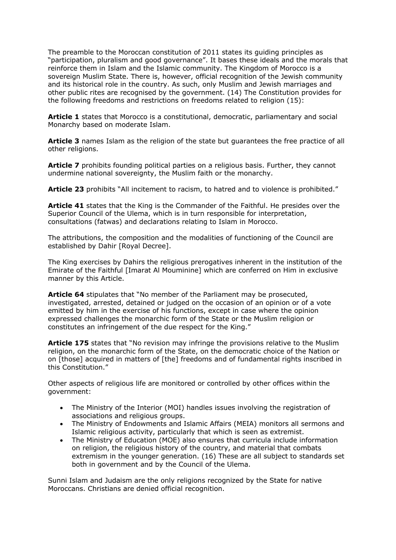The preamble to the Moroccan constitution of 2011 states its guiding principles as "participation, pluralism and good governance". It bases these ideals and the morals that reinforce them in Islam and the Islamic community. The Kingdom of Morocco is a sovereign Muslim State. There is, however, official recognition of the Jewish community and its historical role in the country. As such, only Muslim and Jewish marriages and other public rites are recognised by the government. (14) The Constitution provides for the following freedoms and restrictions on freedoms related to religion (15):

**Article 1** states that Morocco is a constitutional, democratic, parliamentary and social Monarchy based on moderate Islam.

**Article 3** names Islam as the religion of the state but guarantees the free practice of all other religions.

**Article 7** prohibits founding political parties on a religious basis. Further, they cannot undermine national sovereignty, the Muslim faith or the monarchy.

**Article 23** prohibits "All incitement to racism, to hatred and to violence is prohibited."

**Article 41** states that the King is the Commander of the Faithful. He presides over the Superior Council of the Ulema, which is in turn responsible for interpretation, consultations (fatwas) and declarations relating to Islam in Morocco.

The attributions, the composition and the modalities of functioning of the Council are established by Dahir [Royal Decree].

The King exercises by Dahirs the religious prerogatives inherent in the institution of the Emirate of the Faithful [Imarat Al Mouminine] which are conferred on Him in exclusive manner by this Article.

**Article 64** stipulates that "No member of the Parliament may be prosecuted, investigated, arrested, detained or judged on the occasion of an opinion or of a vote emitted by him in the exercise of his functions, except in case where the opinion expressed challenges the monarchic form of the State or the Muslim religion or constitutes an infringement of the due respect for the King."

**Article 175** states that "No revision may infringe the provisions relative to the Muslim religion, on the monarchic form of the State, on the democratic choice of the Nation or on [those] acquired in matters of [the] freedoms and of fundamental rights inscribed in this Constitution."

Other aspects of religious life are monitored or controlled by other offices within the government:

- The Ministry of the Interior (MOI) handles issues involving the registration of associations and religious groups.
- The Ministry of Endowments and Islamic Affairs (MEIA) monitors all sermons and Islamic religious activity, particularly that which is seen as extremist.
- The Ministry of Education (MOE) also ensures that curricula include information on religion, the religious history of the country, and material that combats extremism in the younger generation. (16) These are all subject to standards set both in government and by the Council of the Ulema.

Sunni Islam and Judaism are the only religions recognized by the State for native Moroccans. Christians are denied official recognition.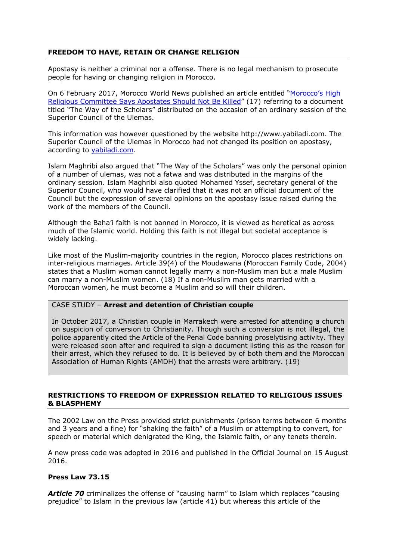# **FREEDOM TO HAVE, RETAIN OR CHANGE RELIGION**

Apostasy is neither a criminal nor a offense. There is no legal mechanism to prosecute people for having or changing religion in Morocco.

On 6 February 2017, Morocco World News published an article entitled "Morocco's High Religious Committee Says Apostates Should Not Be Killed" (17) referring to a document titled "The Way of the Scholars" distributed on the occasion of an ordinary session of the Superior Council of the Ulemas.

This information was however questioned by the website http://www.yabiladi.com. The Superior Council of the Ulemas in Morocco had not changed its position on apostasy, according to yabiladi.com.

Islam Maghribi also argued that "The Way of the Scholars" was only the personal opinion of a number of ulemas, was not a fatwa and was distributed in the margins of the ordinary session. Islam Maghribi also quoted Mohamed Yssef, secretary general of the Superior Council, who would have clarified that it was not an official document of the Council but the expression of several opinions on the apostasy issue raised during the work of the members of the Council.

Although the Baha'i faith is not banned in Morocco, it is viewed as heretical as across much of the Islamic world. Holding this faith is not illegal but societal acceptance is widely lacking.

Like most of the Muslim-majority countries in the region, Morocco places restrictions on inter-religious marriages. Article 39(4) of the Moudawana (Moroccan Family Code, 2004) states that a Muslim woman cannot legally marry a non-Muslim man but a male Muslim can marry a non-Muslim women. (18) If a non-Muslim man gets married with a Moroccan women, he must become a Muslim and so will their children.

#### CASE STUDY – **Arrest and detention of Christian couple**

In October 2017, a Christian couple in Marrakech were arrested for attending a church on suspicion of conversion to Christianity. Though such a conversion is not illegal, the police apparently cited the Article of the Penal Code banning proselytising activity. They were released soon after and required to sign a document listing this as the reason for their arrest, which they refused to do. It is believed by of both them and the Moroccan Association of Human Rights (AMDH) that the arrests were arbitrary. (19)

#### **RESTRICTIONS TO FREEDOM OF EXPRESSION RELATED TO RELIGIOUS ISSUES & BLASPHEMY**

The 2002 Law on the Press provided strict punishments (prison terms between 6 months and 3 years and a fine) for "shaking the faith" of a Muslim or attempting to convert, for speech or material which denigrated the King, the Islamic faith, or any tenets therein.

A new press code was adopted in 2016 and published in the Official Journal on 15 August 2016.

#### **Press Law 73.15**

*Article 70* criminalizes the offense of "causing harm" to Islam which replaces "causing prejudice" to Islam in the previous law (article 41) but whereas this article of the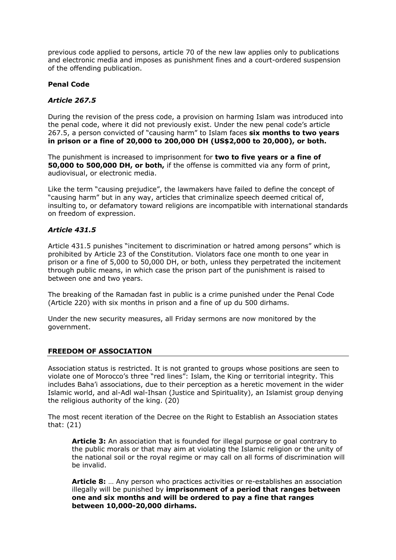previous code applied to persons, article 70 of the new law applies only to publications and electronic media and imposes as punishment fines and a court-ordered suspension of the offending publication.

#### **Penal Code**

# *Article 267.5*

During the revision of the press code, a provision on harming Islam was introduced into the penal code, where it did not previously exist. Under the new penal code's article 267.5, a person convicted of "causing harm" to Islam faces **six months to two years in prison or a fine of 20,000 to 200,000 DH (US\$2,000 to 20,000), or both.**

The punishment is increased to imprisonment for **two to five years or a fine of 50,000 to 500,000 DH, or both,** if the offense is committed via any form of print, audiovisual, or electronic media.

Like the term "causing prejudice", the lawmakers have failed to define the concept of "causing harm" but in any way, articles that criminalize speech deemed critical of, insulting to, or defamatory toward religions are incompatible with international standards on freedom of expression.

#### *Article 431.5*

Article 431.5 punishes "incitement to discrimination or hatred among persons" which is prohibited by Article 23 of the Constitution. Violators face one month to one year in prison or a fine of 5,000 to 50,000 DH, or both, unless they perpetrated the incitement through public means, in which case the prison part of the punishment is raised to between one and two years.

The breaking of the Ramadan fast in public is a crime punished under the Penal Code (Article 220) with six months in prison and a fine of up du 500 dirhams.

Under the new security measures, all Friday sermons are now monitored by the government.

#### **FREEDOM OF ASSOCIATION**

Association status is restricted. It is not granted to groups whose positions are seen to violate one of Morocco's three "red lines": Islam, the King or territorial integrity. This includes Baha'i associations, due to their perception as a heretic movement in the wider Islamic world, and al-Adl wal-Ihsan (Justice and Spirituality), an Islamist group denying the religious authority of the king. (20)

The most recent iteration of the Decree on the Right to Establish an Association states that: (21)

**Article 3:** An association that is founded for illegal purpose or goal contrary to the public morals or that may aim at violating the Islamic religion or the unity of the national soil or the royal regime or may call on all forms of discrimination will be invalid.

**Article 8:** … Any person who practices activities or re-establishes an association illegally will be punished by **imprisonment of a period that ranges between one and six months and will be ordered to pay a fine that ranges between 10,000-20,000 dirhams.**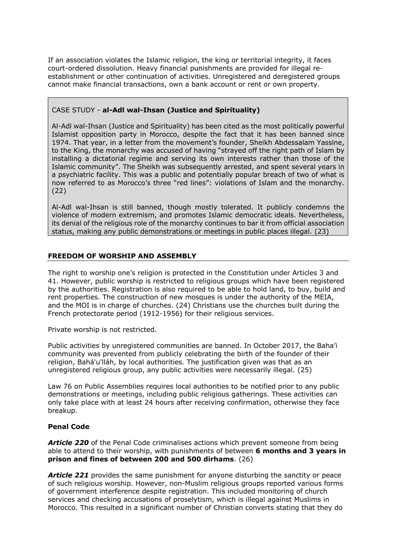If an association violates the Islamic religion, the king or territorial integrity, it faces court-ordered dissolution. Heavy financial punishments are provided for illegal reestablishment or other continuation of activities. Unregistered and deregistered groups cannot make financial transactions, own a bank account or rent or own property.

# CASE STUDY - **al-Adl wal-Ihsan (Justice and Spirituality)**

Al-Adl wal-Ihsan (Justice and Spirituality) has been cited as the most politically powerful Islamist opposition party in Morocco, despite the fact that it has been banned since 1974. That year, in a letter from the movement's founder, Sheikh Abdessalam Yassine, to the King, the monarchy was accused of having "strayed off the right path of Islam by installing a dictatorial regime and serving its own interests rather than those of the Islamic community". The Sheikh was subsequently arrested, and spent several years in a psychiatric facility. This was a public and potentially popular breach of two of what is now referred to as Morocco's three "red lines": violations of Islam and the monarchy. (22)

Al-Adl wal-Ihsan is still banned, though mostly tolerated. It publicly condemns the violence of modern extremism, and promotes Islamic democratic ideals. Nevertheless, its denial of the religious role of the monarchy continues to bar it from official association status, making any public demonstrations or meetings in public places illegal. (23)

# **FREEDOM OF WORSHIP AND ASSEMBLY**

The right to worship one's religion is protected in the Constitution under Articles 3 and 41. However, public worship is restricted to religious groups which have been registered by the authorities. Registration is also required to be able to hold land, to buy, build and rent properties. The construction of new mosques is under the authority of the MEIA, and the MOI is in charge of churches. (24) Christians use the churches built during the French protectorate period (1912-1956) for their religious services.

Private worship is not restricted.

Public activities by unregistered communities are banned. In October 2017, the Baha'i community was prevented from publicly celebrating the birth of the founder of their religion, Bahá'u'lláh, by local authorities. The justification given was that as an unregistered religious group, any public activities were necessarily illegal. (25)

Law 76 on Public Assemblies requires local authorities to be notified prior to any public demonstrations or meetings, including public religious gatherings. These activities can only take place with at least 24 hours after receiving confirmation, otherwise they face breakup.

# **Penal Code**

*Article 220* of the Penal Code criminalises actions which prevent someone from being able to attend to their worship, with punishments of between **6 months and 3 years in prison and fines of between 200 and 500 dirhams**. (26)

*Article 221* provides the same punishment for anyone disturbing the sanctity or peace of such religious worship. However, non-Muslim religious groups reported various forms of government interference despite registration. This included monitoring of church services and checking accusations of proselytism, which is illegal against Muslims in Morocco. This resulted in a significant number of Christian converts stating that they do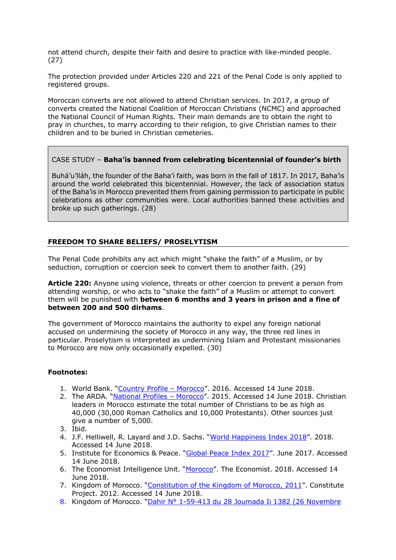not attend church, despite their faith and desire to practice with like-minded people. (27)

The protection provided under Articles 220 and 221 of the Penal Code is only applied to registered groups.

Moroccan converts are not allowed to attend Christian services. In 2017, a group of converts created the National Coalition of Moroccan Christians (NCMC) and approached the National Council of Human Rights. Their main demands are to obtain the right to pray in churches, to marry according to their religion, to give Christian names to their children and to be buried in Christian cemeteries.

# CASE STUDY – **Baha'is banned from celebrating bicentennial of founder's birth**

Buhá'u'lláh, the founder of the Baha'i faith, was born in the fall of 1817. In 2017, Baha'is around the world celebrated this bicentennial. However, the lack of association status of the Baha'is in Morocco prevented them from gaining permission to participate in public celebrations as other communities were. Local authorities banned these activities and broke up such gatherings. (28)

# **FREEDOM TO SHARE BELIEFS/ PROSELYTISM**

The Penal Code prohibits any act which might "shake the faith" of a Muslim, or by seduction, corruption or coercion seek to convert them to another faith. (29)

**Article 220:** Anyone using violence, threats or other coercion to prevent a person from attending worship, or who acts to "shake the faith" of a Muslim or attempt to convert them will be punished with **between 6 months and 3 years in prison and a fine of between 200 and 500 dirhams**.

The government of Morocco maintains the authority to expel any foreign national accused on undermining the society of Morocco in any way, the three red lines in particular. Proselytism is interpreted as undermining Islam and Protestant missionaries to Morocco are now only occasionally expelled. (30)

# **Footnotes:**

- 1. World Bank. "Country Profile Morocco". 2016. Accessed 14 June 2018.
- 2. The ARDA. "National Profiles Morocco". 2015. Accessed 14 June 2018. Christian leaders in Morocco estimate the total number of Christians to be as high as 40,000 (30,000 Roman Catholics and 10,000 Protestants). Other sources just give a number of 5,000.
- 3. Ibid.
- 4. J.F. Helliwell, R. Layard and J.D. Sachs. "World Happiness Index 2018". 2018. Accessed 14 June 2018.
- 5. Institute for Economics & Peace. "Global Peace Index 2017". June 2017. Accessed 14 June 2018.
- 6. The Economist Intelligence Unit. "Morocco". The Economist. 2018. Accessed 14 June 2018.
- 7. Kingdom of Morocco. "Constitution of the Kingdom of Morocco, 2011". Constitute Project. 2012. Accessed 14 June 2018.
- 8. Kingdom of Morocco. "Dahir N° 1-59-413 du 28 Joumada Ii 1382 (26 Novembre